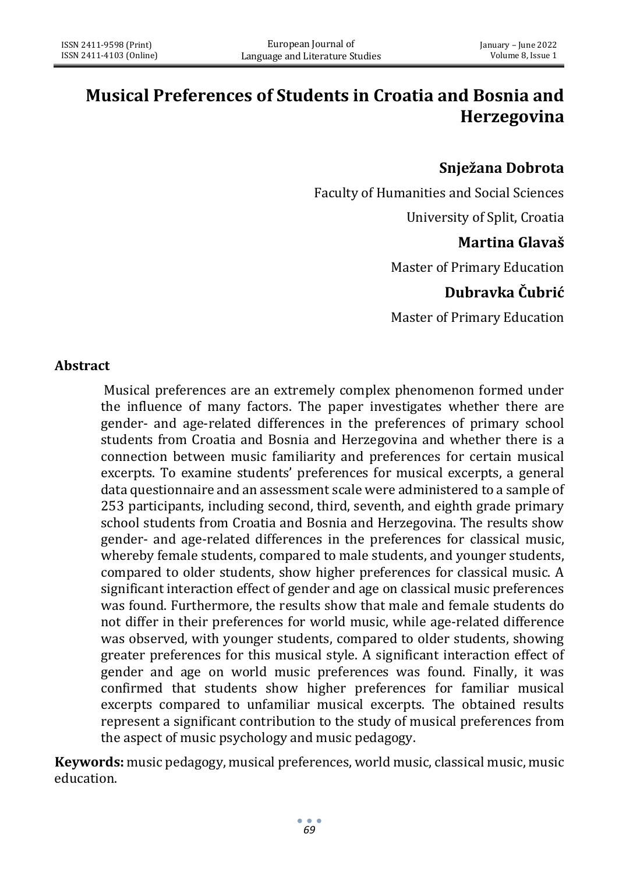# **Musical Preferences of Students in Croatia and Bosnia and Herzegovina**

## **Snježana Dobrota**

Faculty of Humanities and Social Sciences

University of Split, Croatia

## **Martina Glavaš**

Master of Primary Education

# **Dubravka Čubrić**

Master of Primary Education

#### **Abstract**

Musical preferences are an extremely complex phenomenon formed under the influence of many factors. The paper investigates whether there are gender- and age-related differences in the preferences of primary school students from Croatia and Bosnia and Herzegovina and whether there is a connection between music familiarity and preferences for certain musical excerpts. To examine students' preferences for musical excerpts, a general data questionnaire and an assessment scale were administered to a sample of 253 participants, including second, third, seventh, and eighth grade primary school students from Croatia and Bosnia and Herzegovina. The results show gender- and age-related differences in the preferences for classical music, whereby female students, compared to male students, and younger students, compared to older students, show higher preferences for classical music. A significant interaction effect of gender and age on classical music preferences was found. Furthermore, the results show that male and female students do not differ in their preferences for world music, while age-related difference was observed, with younger students, compared to older students, showing greater preferences for this musical style. A significant interaction effect of gender and age on world music preferences was found. Finally, it was confirmed that students show higher preferences for familiar musical excerpts compared to unfamiliar musical excerpts. The obtained results represent a significant contribution to the study of musical preferences from the aspect of music psychology and music pedagogy.

**Keywords:** music pedagogy, musical preferences, world music, classical music, music education.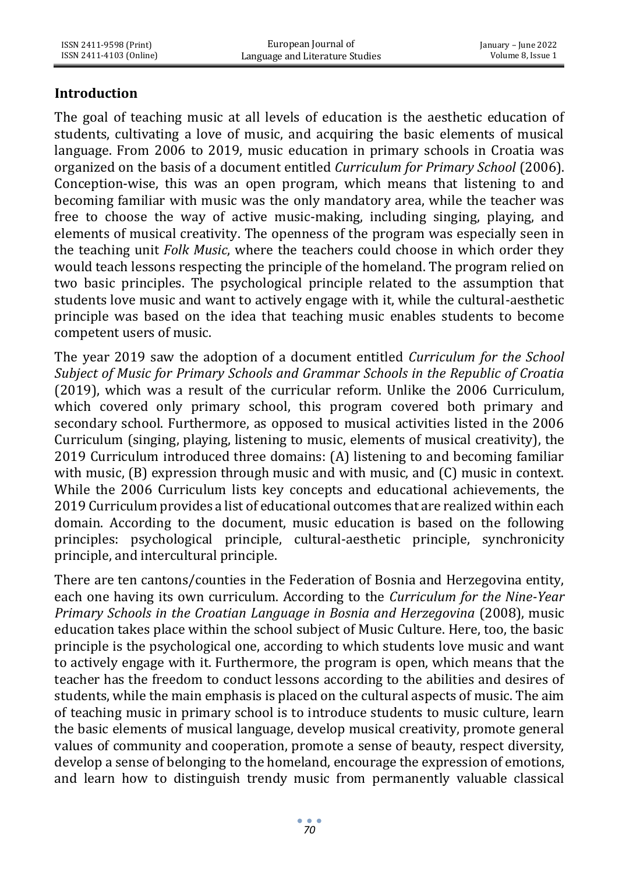## **Introduction**

The goal of teaching music at all levels of education is the aesthetic education of students, cultivating a love of music, and acquiring the basic elements of musical language. From 2006 to 2019, music education in primary schools in Croatia was organized on the basis of a document entitled *Curriculum for Primary School* (2006). Conception-wise, this was an open program, which means that listening to and becoming familiar with music was the only mandatory area, while the teacher was free to choose the way of active music-making, including singing, playing, and elements of musical creativity. The openness of the program was especially seen in the teaching unit *Folk Music*, where the teachers could choose in which order they would teach lessons respecting the principle of the homeland. The program relied on two basic principles. The psychological principle related to the assumption that students love music and want to actively engage with it, while the cultural-aesthetic principle was based on the idea that teaching music enables students to become competent users of music.

The year 2019 saw the adoption of a document entitled *Curriculum for the School Subject of Music for Primary Schools and Grammar Schools in the Republic of Croatia* (2019), which was a result of the curricular reform. Unlike the 2006 Curriculum, which covered only primary school, this program covered both primary and secondary school. Furthermore, as opposed to musical activities listed in the 2006 Curriculum (singing, playing, listening to music, elements of musical creativity), the 2019 Curriculum introduced three domains: (A) listening to and becoming familiar with music, (B) expression through music and with music, and (C) music in context. While the 2006 Curriculum lists key concepts and educational achievements, the 2019 Curriculum provides a list of educational outcomes that are realized within each domain. According to the document, music education is based on the following principles: psychological principle, cultural-aesthetic principle, synchronicity principle, and intercultural principle.

There are ten cantons/counties in the Federation of Bosnia and Herzegovina entity, each one having its own curriculum. According to the *Curriculum for the Nine-Year Primary Schools in the Croatian Language in Bosnia and Herzegovina* (2008), music education takes place within the school subject of Music Culture. Here, too, the basic principle is the psychological one, according to which students love music and want to actively engage with it. Furthermore, the program is open, which means that the teacher has the freedom to conduct lessons according to the abilities and desires of students, while the main emphasis is placed on the cultural aspects of music. The aim of teaching music in primary school is to introduce students to music culture, learn the basic elements of musical language, develop musical creativity, promote general values of community and cooperation, promote a sense of beauty, respect diversity, develop a sense of belonging to the homeland, encourage the expression of emotions, and learn how to distinguish trendy music from permanently valuable classical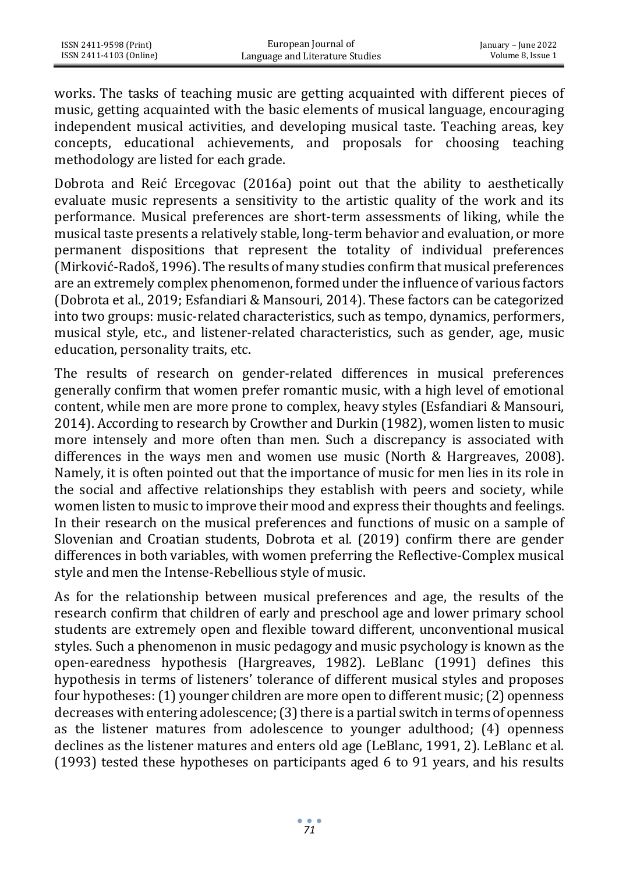works. The tasks of teaching music are getting acquainted with different pieces of music, getting acquainted with the basic elements of musical language, encouraging independent musical activities, and developing musical taste. Teaching areas, key concepts, educational achievements, and proposals for choosing teaching methodology are listed for each grade.

Dobrota and Reić Ercegovac (2016a) point out that the ability to aesthetically evaluate music represents a sensitivity to the artistic quality of the work and its performance. Musical preferences are short-term assessments of liking, while the musical taste presents a relatively stable, long-term behavior and evaluation, or more permanent dispositions that represent the totality of individual preferences (Mirković-Radoš, 1996). The results of many studies confirm that musical preferences are an extremely complex phenomenon, formed under the influence of various factors (Dobrota et al., 2019; Esfandiari & Mansouri, 2014). These factors can be categorized into two groups: music-related characteristics, such as tempo, dynamics, performers, musical style, etc., and listener-related characteristics, such as gender, age, music education, personality traits, etc.

The results of research on gender-related differences in musical preferences generally confirm that women prefer romantic music, with a high level of emotional content, while men are more prone to complex, heavy styles (Esfandiari & Mansouri, 2014). According to research by Crowther and Durkin (1982), women listen to music more intensely and more often than men. Such a discrepancy is associated with differences in the ways men and women use music (North & Hargreaves, 2008). Namely, it is often pointed out that the importance of music for men lies in its role in the social and affective relationships they establish with peers and society, while women listen to music to improve their mood and express their thoughts and feelings. In their research on the musical preferences and functions of music on a sample of Slovenian and Croatian students, Dobrota et al. (2019) confirm there are gender differences in both variables, with women preferring the Reflective-Complex musical style and men the Intense-Rebellious style of music.

As for the relationship between musical preferences and age, the results of the research confirm that children of early and preschool age and lower primary school students are extremely open and flexible toward different, unconventional musical styles. Such a phenomenon in music pedagogy and music psychology is known as the open-earedness hypothesis (Hargreaves, 1982). LeBlanc (1991) defines this hypothesis in terms of listeners' tolerance of different musical styles and proposes four hypotheses: (1) younger children are more open to different music; (2) openness decreases with entering adolescence; (3) there is a partial switch in terms of openness as the listener matures from adolescence to younger adulthood; (4) openness declines as the listener matures and enters old age (LeBlanc, 1991, 2). LeBlanc et al. (1993) tested these hypotheses on participants aged 6 to 91 years, and his results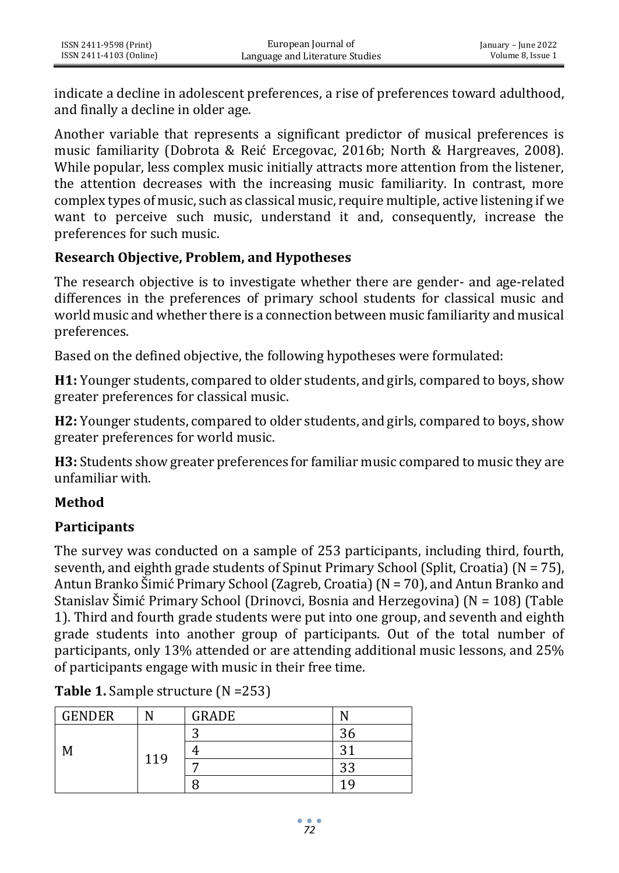indicate a decline in adolescent preferences, a rise of preferences toward adulthood, and finally a decline in older age.

Another variable that represents a significant predictor of musical preferences is music familiarity (Dobrota & Reić Ercegovac, 2016b; North & Hargreaves, 2008). While popular, less complex music initially attracts more attention from the listener, the attention decreases with the increasing music familiarity. In contrast, more complex types of music, such as classical music, require multiple, active listening if we want to perceive such music, understand it and, consequently, increase the preferences for such music.

#### **Research Objective, Problem, and Hypotheses**

The research objective is to investigate whether there are gender- and age-related differences in the preferences of primary school students for classical music and world music and whether there is a connection between music familiarity and musical preferences.

Based on the defined objective, the following hypotheses were formulated:

**H1:** Younger students, compared to older students, and girls, compared to boys, show greater preferences for classical music.

**H2:** Younger students, compared to older students, and girls, compared to boys, show greater preferences for world music.

**H3:** Students show greater preferences for familiar music compared to music they are unfamiliar with.

#### **Method**

#### **Participants**

The survey was conducted on a sample of 253 participants, including third, fourth, seventh, and eighth grade students of Spinut Primary School (Split, Croatia) ( $N = 75$ ), Antun Branko Šimić Primary School (Zagreb, Croatia) (N = 70), and Antun Branko and Stanislav Šimić Primary School (Drinovci, Bosnia and Herzegovina) (N = 108) (Table 1). Third and fourth grade students were put into one group, and seventh and eighth grade students into another group of participants. Out of the total number of participants, only 13% attended or are attending additional music lessons, and 25% of participants engage with music in their free time.

| <b>GENDER</b> |     | <b>GRADE</b> |           |
|---------------|-----|--------------|-----------|
|               |     | ╭            | n<br>эc   |
| M             | 119 |              | 21        |
|               |     |              | 22<br>ن ن |
|               |     |              | 1 Q       |

**Table 1.** Sample structure (N =253)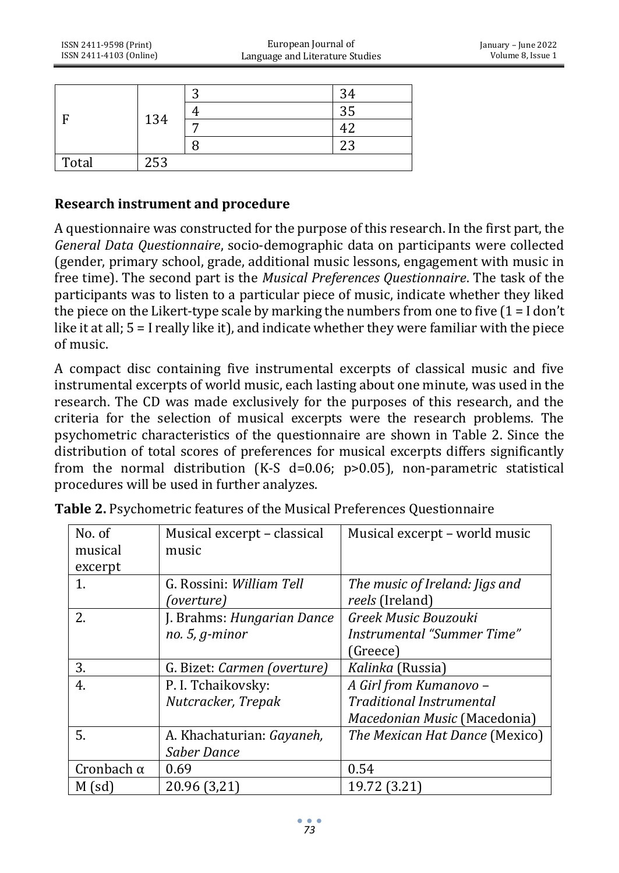| F     | 134 | ⌒ | 34  |
|-------|-----|---|-----|
|       |     |   | 35  |
|       |     | − |     |
|       |     |   | n n |
| Total | 253 |   |     |

#### **Research instrument and procedure**

A questionnaire was constructed for the purpose of this research. In the first part, the *General Data Questionnaire*, socio-demographic data on participants were collected (gender, primary school, grade, additional music lessons, engagement with music in free time). The second part is the *Musical Preferences Questionnaire*. The task of the participants was to listen to a particular piece of music, indicate whether they liked the piece on the Likert-type scale by marking the numbers from one to five  $(1 = I \text{ don't})$ like it at all; 5 = I really like it), and indicate whether they were familiar with the piece of music.

A compact disc containing five instrumental excerpts of classical music and five instrumental excerpts of world music, each lasting about one minute, was used in the research. The CD was made exclusively for the purposes of this research, and the criteria for the selection of musical excerpts were the research problems. The psychometric characteristics of the questionnaire are shown in Table 2. Since the distribution of total scores of preferences for musical excerpts differs significantly from the normal distribution (K-S  $d=0.06$ ; p>0.05), non-parametric statistical procedures will be used in further analyzes.

| No. of            |                             |                                 |
|-------------------|-----------------------------|---------------------------------|
|                   | Musical excerpt – classical | Musical excerpt – world music   |
| musical           | music                       |                                 |
| excerpt           |                             |                                 |
| 1.                | G. Rossini: William Tell    | The music of Ireland: Jigs and  |
|                   | (overture)                  | reels (Ireland)                 |
| 2.                | J. Brahms: Hungarian Dance  | Greek Music Bouzouki            |
|                   | $no. 5, g-minor$            | Instrumental "Summer Time"      |
|                   |                             | (Greece)                        |
| 3.                | G. Bizet: Carmen (overture) | Kalinka (Russia)                |
| 4.                | P. I. Tchaikovsky:          | A Girl from Kumanovo -          |
|                   | Nutcracker, Trepak          | <b>Traditional Instrumental</b> |
|                   |                             | Macedonian Music (Macedonia)    |
| 5.                | A. Khachaturian: Gayaneh,   | The Mexican Hat Dance (Mexico)  |
|                   | Saber Dance                 |                                 |
| Cronbach $\alpha$ | 0.69                        | 0.54                            |
| $M$ (sd)          | 20.96 (3,21)                | 19.72 (3.21)                    |

**Table 2.** Psychometric features of the Musical Preferences Questionnaire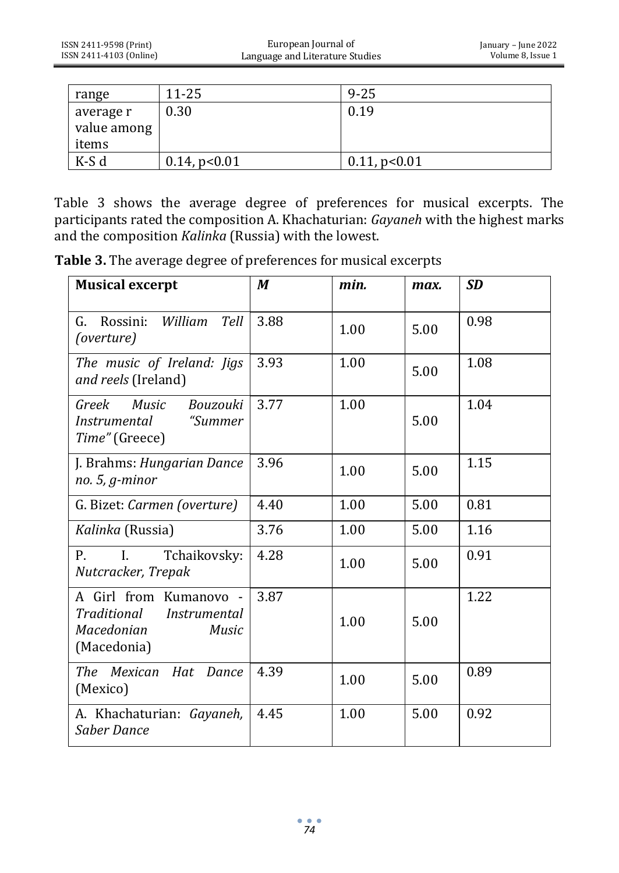| range       | $11 - 25$          | $9 - 25$           |
|-------------|--------------------|--------------------|
| average r   | 0.30               | 0.19               |
| value among |                    |                    |
| items       |                    |                    |
| K-S d       | $0.14$ , p< $0.01$ | $0.11$ , p< $0.01$ |

Table 3 shows the average degree of preferences for musical excerpts. The participants rated the composition A. Khachaturian: *Gayaneh* with the highest marks and the composition *Kalinka* (Russia) with the lowest.

**Table 3.** The average degree of preferences for musical excerpts

| <b>Musical excerpt</b>                                                                                    | M    | min. | max. | <b>SD</b> |
|-----------------------------------------------------------------------------------------------------------|------|------|------|-----------|
| Rossini:<br>William<br>Tell<br>G.<br>(overture)                                                           | 3.88 | 1.00 | 5.00 | 0.98      |
| The music of Ireland: Jigs<br>and reels (Ireland)                                                         | 3.93 | 1.00 | 5.00 | 1.08      |
| Greek<br>Music<br>Bouzouki<br>"Summer"<br><i>Instrumental</i><br>Time" (Greece)                           | 3.77 | 1.00 | 5.00 | 1.04      |
| J. Brahms: Hungarian Dance<br>$no. 5, g-minor$                                                            | 3.96 | 1.00 | 5.00 | 1.15      |
| G. Bizet: Carmen (overture)                                                                               | 4.40 | 1.00 | 5.00 | 0.81      |
| Kalinka (Russia)                                                                                          | 3.76 | 1.00 | 5.00 | 1.16      |
| P.<br>$\mathbf{I}$ .<br>Tchaikovsky:<br>Nutcracker, Trepak                                                | 4.28 | 1.00 | 5.00 | 0.91      |
| A Girl from Kumanovo -<br>Traditional<br><i>Instrumental</i><br>Macedonian<br><b>Music</b><br>(Macedonia) | 3.87 | 1.00 | 5.00 | 1.22      |
| The Mexican Hat Dance<br>(Mexico)                                                                         | 4.39 | 1.00 | 5.00 | 0.89      |
| A. Khachaturian: Gayaneh,<br>Saber Dance                                                                  | 4.45 | 1.00 | 5.00 | 0.92      |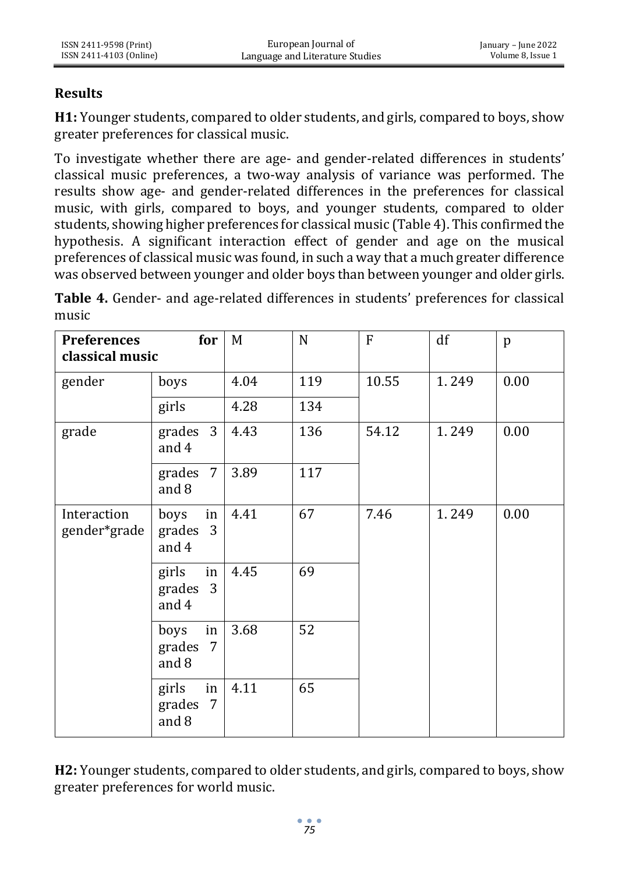#### **Results**

**H1:** Younger students, compared to older students, and girls, compared to boys, show greater preferences for classical music.

To investigate whether there are age- and gender-related differences in students' classical music preferences, a two-way analysis of variance was performed. The results show age- and gender-related differences in the preferences for classical music, with girls, compared to boys, and younger students, compared to older students, showing higher preferences for classical music (Table 4). This confirmed the hypothesis. A significant interaction effect of gender and age on the musical preferences of classical music was found, in such a way that a much greater difference was observed between younger and older boys than between younger and older girls.

**Table 4.** Gender- and age-related differences in students' preferences for classical music

| <b>Preferences</b><br>classical music | for                                           | M         | $\mathbf N$ | $\mathbf{F}$ | df    | p    |
|---------------------------------------|-----------------------------------------------|-----------|-------------|--------------|-------|------|
| gender                                | boys                                          | 4.04      | 119         | 10.55        | 1.249 | 0.00 |
|                                       | girls                                         | 4.28      | 134         |              |       |      |
| grade                                 | grades $3$<br>and 4                           | 4.43      | 136         | 54.12        | 1.249 | 0.00 |
|                                       | grades $7$<br>and 8                           | 3.89      | 117         |              |       |      |
| Interaction<br>gender*grade           | $\ln$<br>boys<br>grades 3<br>and 4            | 4.41      | 67          | 7.46         | 1.249 | 0.00 |
|                                       | girls<br>grades 3<br>and 4                    | in $4.45$ | 69          |              |       |      |
|                                       | in<br>boys<br>grades 7<br>and 8               | 3.68      | 52          |              |       |      |
|                                       | girls<br>in <sub>1</sub><br>grades 7<br>and 8 | 4.11      | 65          |              |       |      |

**H2:** Younger students, compared to older students, and girls, compared to boys, show greater preferences for world music.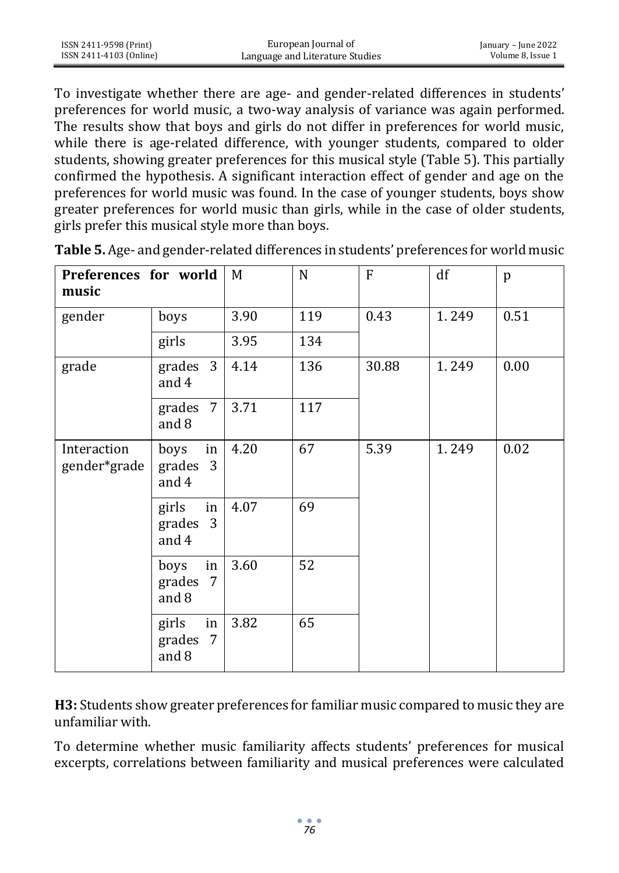| ISSN 2411-9598 (Print)  | European Journal of             | January – June 2022 |
|-------------------------|---------------------------------|---------------------|
| ISSN 2411-4103 (Online) | Language and Literature Studies | Volume 8. Issue 1   |

To investigate whether there are age- and gender-related differences in students' preferences for world music, a two-way analysis of variance was again performed. The results show that boys and girls do not differ in preferences for world music, while there is age-related difference, with younger students, compared to older students, showing greater preferences for this musical style (Table 5). This partially confirmed the hypothesis. A significant interaction effect of gender and age on the preferences for world music was found. In the case of younger students, boys show greater preferences for world music than girls, while in the case of older students, girls prefer this musical style more than boys.

| Preferences for world<br>music |                                     | M    | N   | F     | df    | p    |
|--------------------------------|-------------------------------------|------|-----|-------|-------|------|
| gender                         | boys                                | 3.90 | 119 | 0.43  | 1.249 | 0.51 |
|                                | girls                               | 3.95 | 134 |       |       |      |
| grade                          | grades $3 \mid 4.14$<br>and 4       |      | 136 | 30.88 | 1.249 | 0.00 |
|                                | grades $7$<br>and 8                 | 3.71 | 117 |       |       |      |
| Interaction<br>gender*grade    | boys<br>in<br>grades 3<br>and 4     | 4.20 | 67  | 5.39  | 1.249 | 0.02 |
|                                | $\ln$<br>girls<br>grades 3<br>and 4 | 4.07 | 69  |       |       |      |
|                                | in<br>boys<br>grades<br>7<br>and 8  | 3.60 | 52  |       |       |      |
|                                | girls<br>in<br>grades 7<br>and 8    | 3.82 | 65  |       |       |      |

**Table 5.** Age- and gender-related differences in students' preferences for world music

**H3:** Students show greater preferences for familiar music compared to music they are unfamiliar with.

To determine whether music familiarity affects students' preferences for musical excerpts, correlations between familiarity and musical preferences were calculated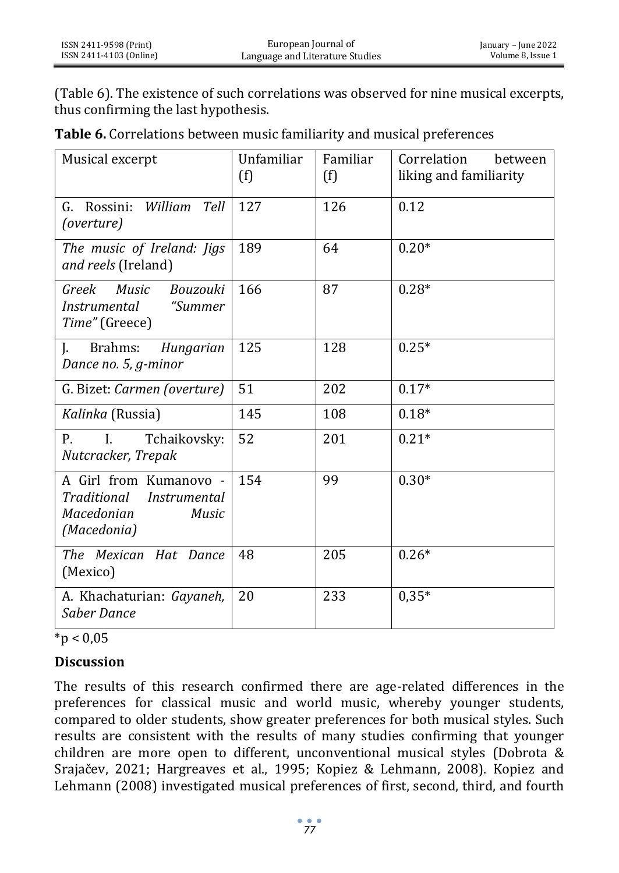(Table 6). The existence of such correlations was observed for nine musical excerpts, thus confirming the last hypothesis.

| Table 6. Correlations between music familiarity and musical preferences |  |  |
|-------------------------------------------------------------------------|--|--|
|-------------------------------------------------------------------------|--|--|

| Musical excerpt                                                                                    | Unfamiliar<br>(f) | Familiar<br>(f) | Correlation<br>between<br>liking and familiarity |
|----------------------------------------------------------------------------------------------------|-------------------|-----------------|--------------------------------------------------|
| Rossini: William<br>Tell<br>G.<br>(overture)                                                       | 127               | 126             | 0.12                                             |
| The music of Ireland: Jigs<br>and reels (Ireland)                                                  | 189               | 64              | $0.20*$                                          |
| <b>Music</b><br>Bouzouki<br>Greek<br><i>Instrumental</i><br>"Summer<br>Time" (Greece)              | 166               | 87              | $0.28*$                                          |
| J.<br>Brahms:<br>Hungarian<br>Dance no. 5, g-minor                                                 | 125               | 128             | $0.25*$                                          |
| G. Bizet: Carmen (overture)                                                                        | 51                | 202             | $0.17*$                                          |
| Kalinka (Russia)                                                                                   | 145               | 108             | $0.18*$                                          |
| Р.<br>Tchaikovsky:<br>I.<br>Nutcracker, Trepak                                                     | 52                | 201             | $0.21*$                                          |
| A Girl from Kumanovo -<br>Traditional<br><i>Instrumental</i><br>Macedonian<br>Music<br>(Macedonia) | 154               | 99              | $0.30*$                                          |
| The Mexican Hat Dance<br>(Mexico)                                                                  | 48                | 205             | $0.26*$                                          |
| A. Khachaturian: Gayaneh,<br>Saber Dance                                                           | 20                | 233             | $0,35*$                                          |

 $\frac{1}{10}$  < 0.05

#### **Discussion**

The results of this research confirmed there are age-related differences in the preferences for classical music and world music, whereby younger students, compared to older students, show greater preferences for both musical styles. Such results are consistent with the results of many studies confirming that younger children are more open to different, unconventional musical styles (Dobrota & Srajačev, 2021; Hargreaves et al., 1995; Kopiez & Lehmann, 2008). Kopiez and Lehmann (2008) investigated musical preferences of first, second, third, and fourth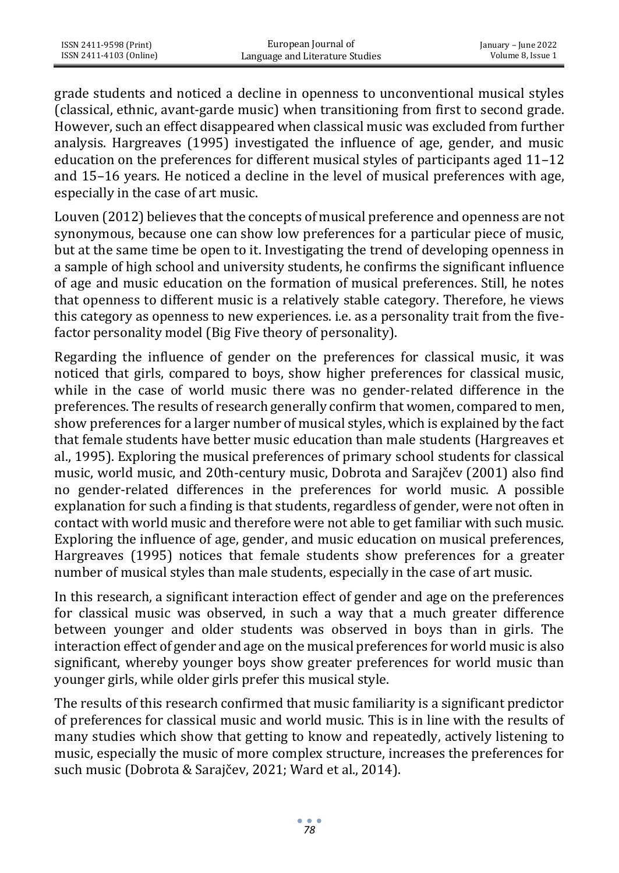| ISSN 2411-9598 (Print)  | European Journal of             | January – June 2022 |
|-------------------------|---------------------------------|---------------------|
| ISSN 2411-4103 (Online) | Language and Literature Studies | Volume 8, Issue 1   |

grade students and noticed a decline in openness to unconventional musical styles (classical, ethnic, avant-garde music) when transitioning from first to second grade. However, such an effect disappeared when classical music was excluded from further analysis. Hargreaves (1995) investigated the influence of age, gender, and music education on the preferences for different musical styles of participants aged 11–12 and 15–16 years. He noticed a decline in the level of musical preferences with age, especially in the case of art music.

Louven (2012) believes that the concepts of musical preference and openness are not synonymous, because one can show low preferences for a particular piece of music, but at the same time be open to it. Investigating the trend of developing openness in a sample of high school and university students, he confirms the significant influence of age and music education on the formation of musical preferences. Still, he notes that openness to different music is a relatively stable category. Therefore, he views this category as openness to new experiences. i.e. as a personality trait from the fivefactor personality model (Big Five theory of personality).

Regarding the influence of gender on the preferences for classical music, it was noticed that girls, compared to boys, show higher preferences for classical music, while in the case of world music there was no gender-related difference in the preferences. The results of research generally confirm that women, compared to men, show preferences for a larger number of musical styles, which is explained by the fact that female students have better music education than male students (Hargreaves et al., 1995). Exploring the musical preferences of primary school students for classical music, world music, and 20th-century music, Dobrota and Sarajčev (2001) also find no gender-related differences in the preferences for world music. A possible explanation for such a finding is that students, regardless of gender, were not often in contact with world music and therefore were not able to get familiar with such music. Exploring the influence of age, gender, and music education on musical preferences, Hargreaves (1995) notices that female students show preferences for a greater number of musical styles than male students, especially in the case of art music.

In this research, a significant interaction effect of gender and age on the preferences for classical music was observed, in such a way that a much greater difference between younger and older students was observed in boys than in girls. The interaction effect of gender and age on the musical preferences for world music is also significant, whereby younger boys show greater preferences for world music than younger girls, while older girls prefer this musical style.

The results of this research confirmed that music familiarity is a significant predictor of preferences for classical music and world music. This is in line with the results of many studies which show that getting to know and repeatedly, actively listening to music, especially the music of more complex structure, increases the preferences for such music (Dobrota & Sarajčev, 2021; Ward et al., 2014).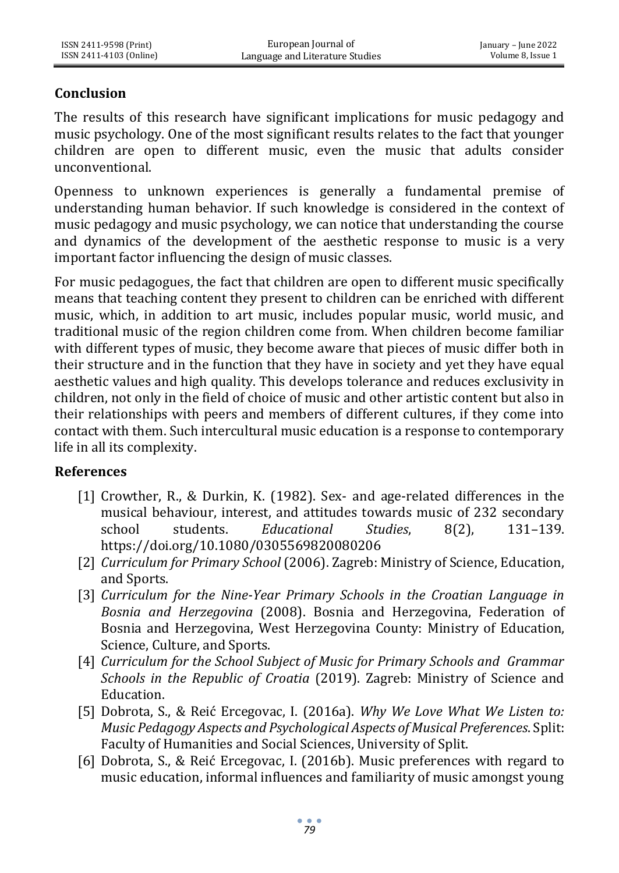## **Conclusion**

The results of this research have significant implications for music pedagogy and music psychology. One of the most significant results relates to the fact that younger children are open to different music, even the music that adults consider unconventional.

Openness to unknown experiences is generally a fundamental premise of understanding human behavior. If such knowledge is considered in the context of music pedagogy and music psychology, we can notice that understanding the course and dynamics of the development of the aesthetic response to music is a very important factor influencing the design of music classes.

For music pedagogues, the fact that children are open to different music specifically means that teaching content they present to children can be enriched with different music, which, in addition to art music, includes popular music, world music, and traditional music of the region children come from. When children become familiar with different types of music, they become aware that pieces of music differ both in their structure and in the function that they have in society and yet they have equal aesthetic values and high quality. This develops tolerance and reduces exclusivity in children, not only in the field of choice of music and other artistic content but also in their relationships with peers and members of different cultures, if they come into contact with them. Such intercultural music education is a response to contemporary life in all its complexity.

#### **References**

- [1] Crowther, R., & Durkin, K. (1982). Sex- and age-related differences in the musical behaviour, interest, and attitudes towards music of 232 secondary school students. *Educational Studies*, 8(2), 131–139. https://doi.org[/10.1080/0305569820080206](https://doi.org/10.1080/0305569820080206)
- [2] *Curriculum for Primary School* (2006). Zagreb: Ministry of Science, Education, and Sports.
- [3] *Curriculum for the Nine-Year Primary Schools in the Croatian Language in Bosnia and Herzegovina* (2008). Bosnia and Herzegovina, Federation of Bosnia and Herzegovina, West Herzegovina County: Ministry of Education, Science, Culture, and Sports.
- [4] *Curriculum for the School Subject of Music for Primary Schools and Grammar Schools in the Republic of Croatia* (2019). Zagreb: Ministry of Science and Education.
- [5] Dobrota, S., & Reić Ercegovac, I. (2016a). *Why We Love What We Listen to: Music Pedagogy Aspects and Psychological Aspects of Musical Preferences*. Split: Faculty of Humanities and Social Sciences, University of Split.
- [6] Dobrota, S., & Reić Ercegovac, I. (2016b). Music preferences with regard to music education, informal influences and familiarity of music amongst young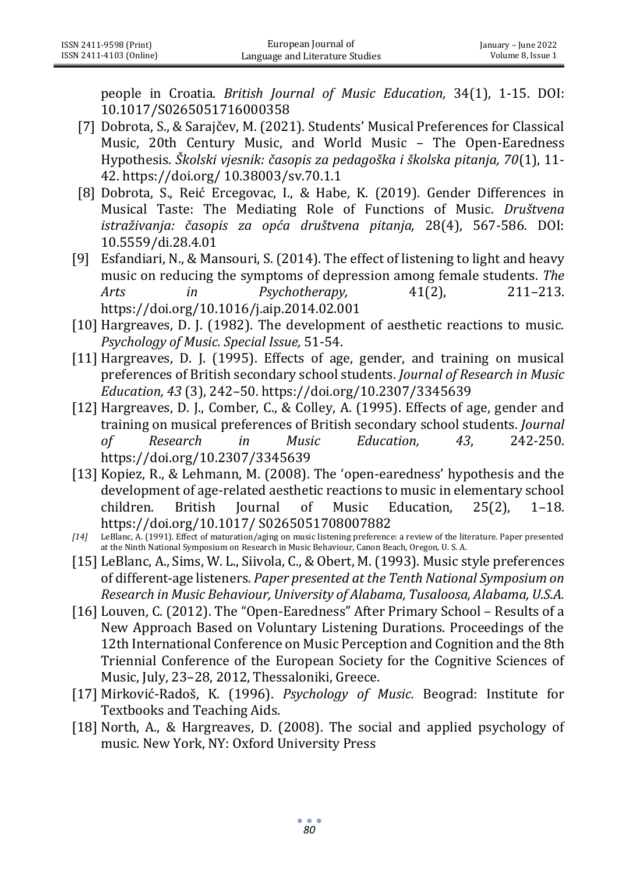people in Croatia. *British Journal of Music Education,* 34(1), 1-15. DOI: [10.1017/S0265051716000358](http://dx.doi.org/10.1017/S0265051716000358)

- [7] Dobrota, S., & Sarajčev, M. (2021). Students' Musical Preferences for Classical Music, 20th Century Music, and World Music – The Open-Earedness Hypothesis. *Školski vjesnik: časopis za pedagoška i školska pitanja, 70*(1), 11- 42[. https://doi.org/ 10.38003/sv.70.1.1](https://doi.org/%2010.38003/sv.70.1.1)
- [8] Dobrota, S., Reić Ercegovac, I., & Habe, K. (2019). Gender Differences in Musical Taste: The Mediating Role of Functions of Music. *Društvena istraživanja: časopis za opća društvena pitanja,* 28(4), 567-586. [DOI:](https://doi.org/10.5559/di.28.4.01)  [10.5559/di.28.4.01](https://doi.org/10.5559/di.28.4.01)
- [9] Esfandiari, N., & Mansouri, S. (2014). The effect of listening to light and heavy music on reducing the symptoms of depression among female students. *The Arts in Psychotherapy,* 41(2), 211–213. https://doi.org[/10.1016/j.aip.2014.02.001](http://dx.doi.org/10.1016/j.aip.2014.02.001)
- [10] Hargreaves, D. J. (1982). The development of aesthetic reactions to music. *Psychology of Music. Special Issue,* 51-54.
- [11] Hargreaves, D. J. (1995). Effects of age, gender, and training on musical preferences of British secondary school students. *Journal of Research in Music Education, 43* (3), 242–50[. https://doi.org/10.2307/3345639](https://doi.org/10.2307%2F3345639)
- [12] Hargreaves, D. J., Comber, C., & Colley, A. (1995). Effects of age, gender and training on musical preferences of British secondary school students. *Journal of Research in Music Education, 43*, 242-250. https://doi.org/10.2307/3345639
- [13] Kopiez, R., & Lehmann, M. (2008). The 'open-earedness' hypothesis and the development of age-related aesthetic reactions to music in elementary school children. British Journal of Music Education, 25(2), 1–18. https://doi.org/10.1017/ S0265051708007882
- *[14]* LeBlanc, A. (1991). Effect of maturation/aging on music listening preference: a review of the literature. Paper presented at the Ninth National Symposium on Research in Music Behaviour, Canon Beach, Oregon, U. S. A.
- [15] LeBlanc, A., Sims, W. L., Siivola, C., & Obert, M. (1993). Music style preferences of different-age listeners. *Paper presented at the Tenth National Symposium on Research in Music Behaviour, University of Alabama, Tusaloosa, Alabama, U.S.A.*
- [16] Louven, C. (2012). The "Open-Earedness" After Primary School Results of a New Approach Based on Voluntary Listening Durations. Proceedings of the 12th International Conference on Music Perception and Cognition and the 8th Triennial Conference of the European Society for the Cognitive Sciences of Music, July, 23–28, 2012, Thessaloniki, Greece.
- [17] Mirković-Radoš, K. (1996). *Psychology of Music.* Beograd: Institute for Textbooks and Teaching Aids.
- [18] North, A., & Hargreaves, D. (2008). The social and applied psychology of music. New York, NY: Oxford University Press